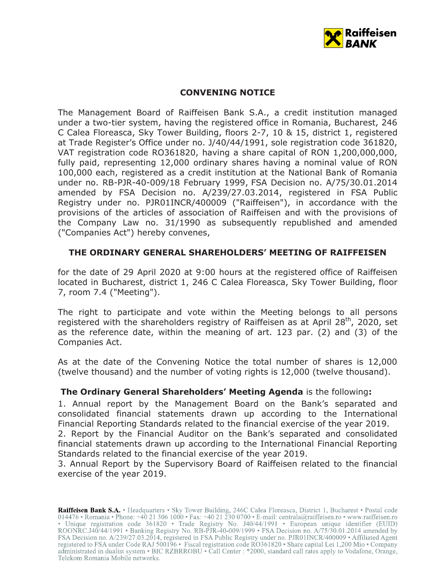

# **CONVENING NOTICE**

The Management Board of Raiffeisen Bank S.A., a credit institution managed under a two-tier system, having the registered office in Romania, Bucharest, 246 C Calea Floreasca, Sky Tower Building, floors 2-7, 10 & 15, district 1, registered at Trade Register's Office under no. J/40/44/1991, sole registration code 361820, VAT registration code RO361820, having a share capital of RON 1,200,000,000, fully paid, representing 12,000 ordinary shares having a nominal value of RON 100,000 each, registered as a credit institution at the National Bank of Romania under no. RB-PJR-40-009/18 February 1999, FSA Decision no. A/75/30.01.2014 amended by FSA Decision no. A/239/27.03.2014, registered in FSA Public Registry under no. PJR01INCR/400009 ("Raiffeisen"), in accordance with the provisions of the articles of association of Raiffeisen and with the provisions of the Company Law no. 31/1990 as subsequently republished and amended ("Companies Act") hereby convenes,

# **THE ORDINARY GENERAL SHAREHOLDERS' MEETING OF RAIFFEISEN**

for the date of 29 April 2020 at 9:00 hours at the registered office of Raiffeisen located in Bucharest, district 1, 246 C Calea Floreasca, Sky Tower Building, floor 7, room 7.4 ("Meeting").

The right to participate and vote within the Meeting belongs to all persons registered with the shareholders registry of Raiffeisen as at April  $28<sup>th</sup>$ , 2020, set as the reference date, within the meaning of art. 123 par. (2) and (3) of the Companies Act.

As at the date of the Convening Notice the total number of shares is 12,000 (twelve thousand) and the number of voting rights is 12,000 (twelve thousand).

## **The Ordinary General Shareholders' Meeting Agenda** is the following**:**

1. Annual report by the Management Board on the Bank's separated and consolidated financial statements drawn up according to the International Financial Reporting Standards related to the financial exercise of the year 2019.

2. Report by the Financial Auditor on the Bank's separated and consolidated financial statements drawn up according to the International Financial Reporting Standards related to the financial exercise of the year 2019.

3. Annual Report by the Supervisory Board of Raiffeisen related to the financial exercise of the year 2019.

Raiffeisen Bank S.A. • Headquarters • Sky Tower Building, 246C Calea Floreasca, District 1, Bucharest • Postal code 014476 • Romania • Phone: +40 21 306 1000 • Fax: +40 21 230 0700 • E-mail: centrala@raiffeisen.ro • www.raiffeisen.ro • Unique registration code 361820 • Trade Registry No. J40/44/1991 • European unique identifier (EUID)<br>ROONRC.J40/44/1991 • Banking Registry No. RB-PJR-40-009/1999 • FSA Decision no. A/75/30.01.2014 amended by FSA Decision no. A/239/27.03.2014, registered in FSA Public Registry under no. PJR01INCR/400009 • Affiliated Agent registered to FSA under Code RAJ 500196 • Fiscal registration code RO361820 • Share capital Lei 1,200 Mio • Company administrated in dualist system • BIC RZBRROBU • Call Center : \*2000, standard call rates apply to Vodafone, Orange, Telekom Romania Mobile networks.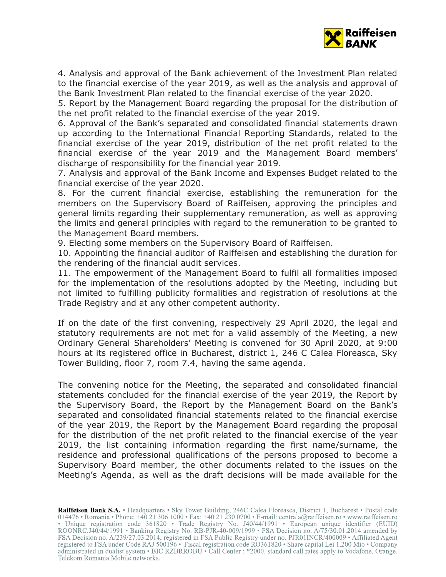

4. Analysis and approval of the Bank achievement of the Investment Plan related to the financial exercise of the year 2019, as well as the analysis and approval of the Bank Investment Plan related to the financial exercise of the year 2020.

5. Report by the Management Board regarding the proposal for the distribution of the net profit related to the financial exercise of the year 2019.

6. Approval of the Bank's separated and consolidated financial statements drawn up according to the International Financial Reporting Standards, related to the financial exercise of the year 2019, distribution of the net profit related to the financial exercise of the year 2019 and the Management Board members' discharge of responsibility for the financial year 2019.

7. Analysis and approval of the Bank Income and Expenses Budget related to the financial exercise of the year 2020.

8. For the current financial exercise, establishing the remuneration for the members on the Supervisory Board of Raiffeisen, approving the principles and general limits regarding their supplementary remuneration, as well as approving the limits and general principles with regard to the remuneration to be granted to the Management Board members.

9. Electing some members on the Supervisory Board of Raiffeisen.

10. Appointing the financial auditor of Raiffeisen and establishing the duration for the rendering of the financial audit services.

11. The empowerment of the Management Board to fulfil all formalities imposed for the implementation of the resolutions adopted by the Meeting, including but not limited to fulfilling publicity formalities and registration of resolutions at the Trade Registry and at any other competent authority.

If on the date of the first convening, respectively 29 April 2020, the legal and statutory requirements are not met for a valid assembly of the Meeting, a new Ordinary General Shareholders' Meeting is convened for 30 April 2020, at 9:00 hours at its registered office in Bucharest, district 1, 246 C Calea Floreasca, Sky Tower Building, floor 7, room 7.4, having the same agenda.

The convening notice for the Meeting, the separated and consolidated financial statements concluded for the financial exercise of the year 2019, the Report by the Supervisory Board, the Report by the Management Board on the Bank's separated and consolidated financial statements related to the financial exercise of the year 2019, the Report by the Management Board regarding the proposal for the distribution of the net profit related to the financial exercise of the year 2019, the list containing information regarding the first name/surname, the residence and professional qualifications of the persons proposed to become a Supervisory Board member, the other documents related to the issues on the Meeting's Agenda, as well as the draft decisions will be made available for the

Raiffeisen Bank S.A. • Headquarters • Sky Tower Building, 246C Calea Floreasca, District 1, Bucharest • Postal code 014476 • Romania • Phone: +40 21 306 1000 • Fax: +40 21 230 0700 • E-mail: centrala@raiffeisen.ro • www.raiffeisen.ro • Unique registration code 361820 • Trade Registry No. J40/44/1991 • European unique identifier (EUID)<br>ROONRC.J40/44/1991 • Banking Registry No. RB-PJR-40-009/1999 • FSA Decision no. A/75/30.01.2014 amended by FSA Decision no. A/239/27.03.2014, registered in FSA Public Registry under no. PJR01INCR/400009 • Affiliated Agent registered to FSA under Code RAJ 500196 • Fiscal registration code RO361820 • Share capital Lei 1,200 Mio • Company administrated in dualist system • BIC RZBRROBU • Call Center : \*2000, standard call rates apply to Vodafone, Orange, Telekom Romania Mobile networks.